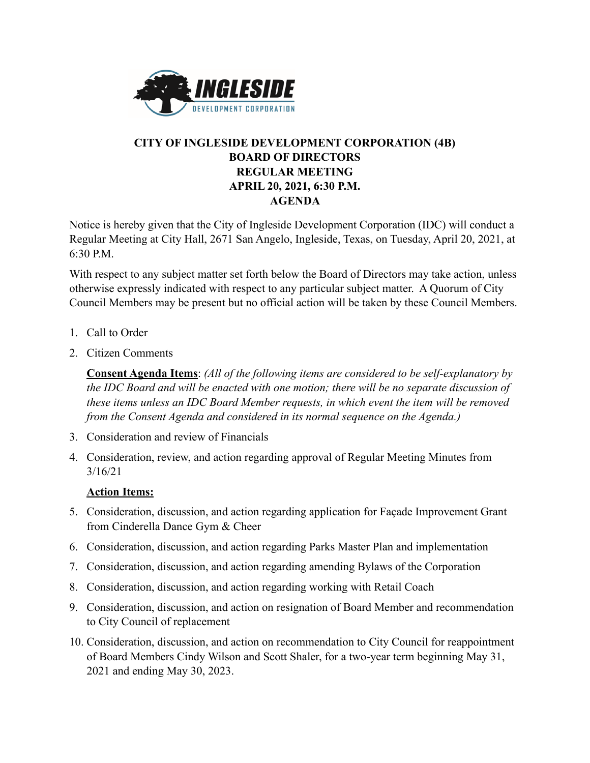

## **CITY OF INGLESIDE DEVELOPMENT CORPORATION (4B) BOARD OF DIRECTORS REGULAR MEETING APRIL 20, 2021, 6:30 P.M. AGENDA**

Notice is hereby given that the City of Ingleside Development Corporation (IDC) will conduct a Regular Meeting at City Hall, 2671 San Angelo, Ingleside, Texas, on Tuesday, April 20, 2021, at 6:30 P.M.

With respect to any subject matter set forth below the Board of Directors may take action, unless otherwise expressly indicated with respect to any particular subject matter. A Quorum of City Council Members may be present but no official action will be taken by these Council Members.

- 1. Call to Order
- 2. Citizen Comments

**Consent Agenda Items**: *(All of the following items are considered to be self-explanatory by the IDC Board and will be enacted with one motion; there will be no separate discussion of these items unless an IDC Board Member requests, in which event the item will be removed from the Consent Agenda and considered in its normal sequence on the Agenda.)*

- 3. Consideration and review of Financials
- 4. Consideration, review, and action regarding approval of Regular Meeting Minutes from 3/16/21

## **Action Items:**

- 5. Consideration, discussion, and action regarding application for Façade Improvement Grant from Cinderella Dance Gym & Cheer
- 6. Consideration, discussion, and action regarding Parks Master Plan and implementation
- 7. Consideration, discussion, and action regarding amending Bylaws of the Corporation
- 8. Consideration, discussion, and action regarding working with Retail Coach
- 9. Consideration, discussion, and action on resignation of Board Member and recommendation to City Council of replacement
- 10. Consideration, discussion, and action on recommendation to City Council for reappointment of Board Members Cindy Wilson and Scott Shaler, for a two-year term beginning May 31, 2021 and ending May 30, 2023.